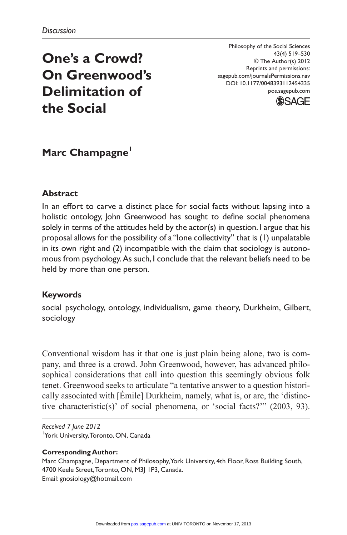# **One's a Crowd? On Greenwood's Delimitation of the Social**

Philosophy of the Social Sciences 43(4) 519–530 © The Author(s) 2012 Reprints and permissions: sagepub.com/journalsPermissions.nav DOI: 10.1177/0048393112454335 pos.sagepub.com



## Marc Champagne<sup>1</sup>

## **Abstract**

In an effort to carve a distinct place for social facts without lapsing into a holistic ontology, John Greenwood has sought to define social phenomena solely in terms of the attitudes held by the actor(s) in question. I argue that his proposal allows for the possibility of a "lone collectivity" that is (1) unpalatable in its own right and (2) incompatible with the claim that sociology is autonomous from psychology. As such, I conclude that the relevant beliefs need to be held by more than one person.

### **Keywords**

social psychology, ontology, individualism, game theory, Durkheim, Gilbert, sociology

Conventional wisdom has it that one is just plain being alone, two is company, and three is a crowd. John Greenwood, however, has advanced philosophical considerations that call into question this seemingly obvious folk tenet. Greenwood seeks to articulate "a tentative answer to a question historically associated with [Émile] Durkheim, namely, what is, or are, the 'distinctive characteristic(s)' of social phenomena, or 'social facts?'" (2003, 93).

*Received 7 June 2012* 1 York University, Toronto, ON, Canada

#### **Corresponding Author:**

Marc Champagne, Department of Philosophy, York University, 4th Floor, Ross Building South, 4700 Keele Street, Toronto, ON, M3| IP3, Canada. Email: gnosiology@hotmail.com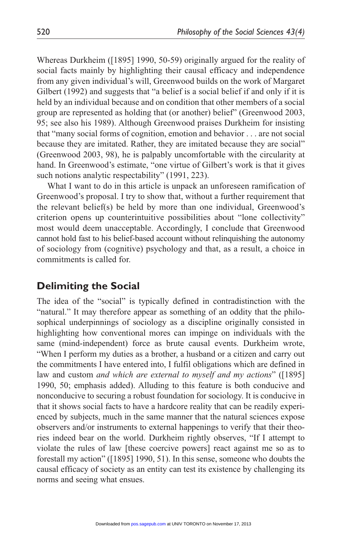Whereas Durkheim ([1895] 1990, 50-59) originally argued for the reality of social facts mainly by highlighting their causal efficacy and independence from any given individual's will, Greenwood builds on the work of Margaret Gilbert (1992) and suggests that "a belief is a social belief if and only if it is held by an individual because and on condition that other members of a social group are represented as holding that (or another) belief" (Greenwood 2003, 95; see also his 1989). Although Greenwood praises Durkheim for insisting that "many social forms of cognition, emotion and behavior . . . are not social because they are imitated. Rather, they are imitated because they are social" (Greenwood 2003, 98), he is palpably uncomfortable with the circularity at hand. In Greenwood's estimate, "one virtue of Gilbert's work is that it gives such notions analytic respectability" (1991, 223).

What I want to do in this article is unpack an unforeseen ramification of Greenwood's proposal. I try to show that, without a further requirement that the relevant belief(s) be held by more than one individual, Greenwood's criterion opens up counterintuitive possibilities about "lone collectivity" most would deem unacceptable. Accordingly, I conclude that Greenwood cannot hold fast to his belief-based account without relinquishing the autonomy of sociology from (cognitive) psychology and that, as a result, a choice in commitments is called for.

## **Delimiting the Social**

The idea of the "social" is typically defined in contradistinction with the "natural." It may therefore appear as something of an oddity that the philosophical underpinnings of sociology as a discipline originally consisted in highlighting how conventional mores can impinge on individuals with the same (mind-independent) force as brute causal events. Durkheim wrote, "When I perform my duties as a brother, a husband or a citizen and carry out the commitments I have entered into, I fulfil obligations which are defined in law and custom *and which are external to myself and my actions*" ([1895] 1990, 50; emphasis added). Alluding to this feature is both conducive and nonconducive to securing a robust foundation for sociology. It is conducive in that it shows social facts to have a hardcore reality that can be readily experienced by subjects, much in the same manner that the natural sciences expose observers and/or instruments to external happenings to verify that their theories indeed bear on the world. Durkheim rightly observes, "If I attempt to violate the rules of law [these coercive powers] react against me so as to forestall my action" ([1895] 1990, 51). In this sense, someone who doubts the causal efficacy of society as an entity can test its existence by challenging its norms and seeing what ensues.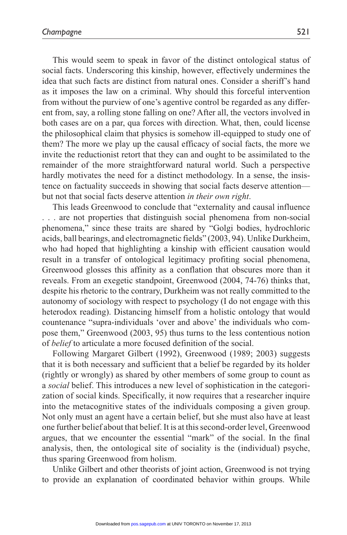This would seem to speak in favor of the distinct ontological status of social facts. Underscoring this kinship, however, effectively undermines the idea that such facts are distinct from natural ones. Consider a sheriff's hand as it imposes the law on a criminal. Why should this forceful intervention from without the purview of one's agentive control be regarded as any different from, say, a rolling stone falling on one? After all, the vectors involved in both cases are on a par, qua forces with direction. What, then, could license the philosophical claim that physics is somehow ill-equipped to study one of them? The more we play up the causal efficacy of social facts, the more we invite the reductionist retort that they can and ought to be assimilated to the remainder of the more straightforward natural world. Such a perspective hardly motivates the need for a distinct methodology. In a sense, the insistence on factuality succeeds in showing that social facts deserve attention but not that social facts deserve attention *in their own right*.

This leads Greenwood to conclude that "externality and causal influence . . . are not properties that distinguish social phenomena from non-social phenomena," since these traits are shared by "Golgi bodies, hydrochloric acids, ball bearings, and electromagnetic fields" (2003, 94). Unlike Durkheim, who had hoped that highlighting a kinship with efficient causation would result in a transfer of ontological legitimacy profiting social phenomena, Greenwood glosses this affinity as a conflation that obscures more than it reveals. From an exegetic standpoint, Greenwood (2004, 74-76) thinks that, despite his rhetoric to the contrary, Durkheim was not really committed to the autonomy of sociology with respect to psychology (I do not engage with this heterodox reading). Distancing himself from a holistic ontology that would countenance "supra-individuals 'over and above' the individuals who compose them," Greenwood (2003, 95) thus turns to the less contentious notion of *belief* to articulate a more focused definition of the social.

Following Margaret Gilbert (1992), Greenwood (1989; 2003) suggests that it is both necessary and sufficient that a belief be regarded by its holder (rightly or wrongly) as shared by other members of some group to count as a *social* belief. This introduces a new level of sophistication in the categorization of social kinds. Specifically, it now requires that a researcher inquire into the metacognitive states of the individuals composing a given group. Not only must an agent have a certain belief, but she must also have at least one further belief about that belief. It is at this second-order level, Greenwood argues, that we encounter the essential "mark" of the social. In the final analysis, then, the ontological site of sociality is the (individual) psyche, thus sparing Greenwood from holism.

Unlike Gilbert and other theorists of joint action, Greenwood is not trying to provide an explanation of coordinated behavior within groups. While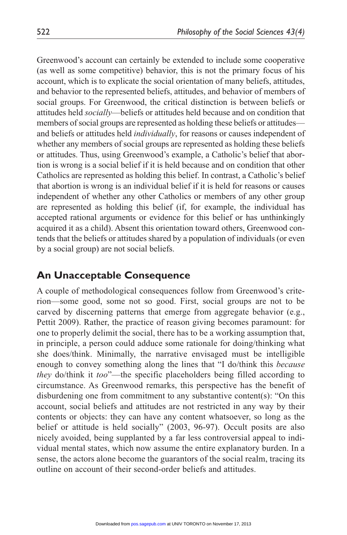Greenwood's account can certainly be extended to include some cooperative (as well as some competitive) behavior, this is not the primary focus of his account, which is to explicate the social orientation of many beliefs, attitudes, and behavior to the represented beliefs, attitudes, and behavior of members of social groups. For Greenwood, the critical distinction is between beliefs or attitudes held *socially*—beliefs or attitudes held because and on condition that members of social groups are represented as holding these beliefs or attitudes and beliefs or attitudes held *individually*, for reasons or causes independent of whether any members of social groups are represented as holding these beliefs or attitudes. Thus, using Greenwood's example, a Catholic's belief that abortion is wrong is a social belief if it is held because and on condition that other Catholics are represented as holding this belief. In contrast, a Catholic's belief that abortion is wrong is an individual belief if it is held for reasons or causes independent of whether any other Catholics or members of any other group are represented as holding this belief (if, for example, the individual has accepted rational arguments or evidence for this belief or has unthinkingly acquired it as a child). Absent this orientation toward others, Greenwood contends that the beliefs or attitudes shared by a population of individuals (or even by a social group) are not social beliefs.

## **An Unacceptable Consequence**

A couple of methodological consequences follow from Greenwood's criterion—some good, some not so good. First, social groups are not to be carved by discerning patterns that emerge from aggregate behavior (e.g., Pettit 2009). Rather, the practice of reason giving becomes paramount: for one to properly delimit the social, there has to be a working assumption that, in principle, a person could adduce some rationale for doing/thinking what she does/think. Minimally, the narrative envisaged must be intelligible enough to convey something along the lines that "I do/think this *because they* do/think it *too*"—the specific placeholders being filled according to circumstance. As Greenwood remarks, this perspective has the benefit of disburdening one from commitment to any substantive content(s): "On this account, social beliefs and attitudes are not restricted in any way by their contents or objects: they can have any content whatsoever, so long as the belief or attitude is held socially" (2003, 96-97). Occult posits are also nicely avoided, being supplanted by a far less controversial appeal to individual mental states, which now assume the entire explanatory burden. In a sense, the actors alone become the guarantors of the social realm, tracing its outline on account of their second-order beliefs and attitudes.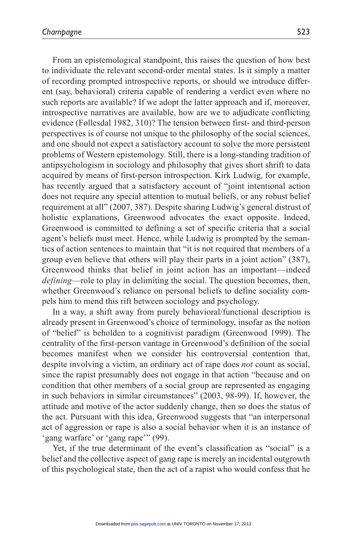From an epistemological standpoint, this raises the question of how best to individuate the relevant second-order mental states. Is it simply a matter of recording prompted introspective reports, or should we introduce different (say, behavioral) criteria capable of rendering a verdict even where no such reports are available? If we adopt the latter approach and if, moreover, introspective narratives are available, how are we to adjudicate conflicting evidence (Føllesdal 1982, 310)? The tension between first- and third-person perspectives is of course not unique to the philosophy of the social sciences, and one should not expect a satisfactory account to solve the more persistent problems of Western epistemology. Still, there is a long-standing tradition of antipsychologism in sociology and philosophy that gives short shrift to data acquired by means of first-person introspection. Kirk Ludwig, for example, has recently argued that a satisfactory account of "joint intentional action does not require any special attention to mutual beliefs, or any robust belief requirement at all" (2007, 387). Despite sharing Ludwig's general distrust of holistic explanations, Greenwood advocates the exact opposite. Indeed, Greenwood is committed to defining a set of specific criteria that a social agent's beliefs must meet. Hence, while Ludwig is prompted by the semantics of action sentences to maintain that "it is not required that members of a group even believe that others will play their parts in a joint action" (387), Greenwood thinks that belief in joint action has an important—indeed *defining*—role to play in delimiting the social. The question becomes, then, whether Greenwood's reliance on personal beliefs to define sociality compels him to mend this rift between sociology and psychology.

In a way, a shift away from purely behavioral/functional description is already present in Greenwood's choice of terminology, insofar as the notion of "belief" is beholden to a cognitivist paradigm (Greenwood 1999). The centrality of the first-person vantage in Greenwood's definition of the social becomes manifest when we consider his controversial contention that, despite involving a victim, an ordinary act of rape does *not* count as social, since the rapist presumably does not engage in that action "because and on condition that other members of a social group are represented as engaging in such behaviors in similar circumstances" (2003, 98-99). If, however, the attitude and motive of the actor suddenly change, then so does the status of the act. Pursuant with this idea, Greenwood suggests that "an interpersonal act of aggression or rape is also a social behavior when it is an instance of 'gang warfare' or 'gang rape'" (99).

Yet, if the true determinant of the event's classification as "social" is a belief and the collective aspect of gang rape is merely an incidental outgrowth of this psychological state, then the act of a rapist who would confess that he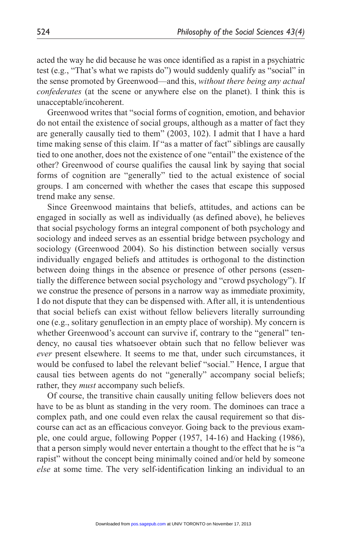acted the way he did because he was once identified as a rapist in a psychiatric test (e.g., "That's what we rapists do") would suddenly qualify as "social" in the sense promoted by Greenwood—and this, *without there being any actual confederates* (at the scene or anywhere else on the planet). I think this is unacceptable/incoherent.

Greenwood writes that "social forms of cognition, emotion, and behavior do not entail the existence of social groups, although as a matter of fact they are generally causally tied to them" (2003, 102). I admit that I have a hard time making sense of this claim. If "as a matter of fact" siblings are causally tied to one another, does not the existence of one "entail" the existence of the other? Greenwood of course qualifies the causal link by saying that social forms of cognition are "generally" tied to the actual existence of social groups. I am concerned with whether the cases that escape this supposed trend make any sense.

Since Greenwood maintains that beliefs, attitudes, and actions can be engaged in socially as well as individually (as defined above), he believes that social psychology forms an integral component of both psychology and sociology and indeed serves as an essential bridge between psychology and sociology (Greenwood 2004). So his distinction between socially versus individually engaged beliefs and attitudes is orthogonal to the distinction between doing things in the absence or presence of other persons (essentially the difference between social psychology and "crowd psychology"). If we construe the presence of persons in a narrow way as immediate proximity, I do not dispute that they can be dispensed with. After all, it is untendentious that social beliefs can exist without fellow believers literally surrounding one (e.g., solitary genuflection in an empty place of worship). My concern is whether Greenwood's account can survive if, contrary to the "general" tendency, no causal ties whatsoever obtain such that no fellow believer was *ever* present elsewhere. It seems to me that, under such circumstances, it would be confused to label the relevant belief "social." Hence, I argue that causal ties between agents do not "generally" accompany social beliefs; rather, they *must* accompany such beliefs.

Of course, the transitive chain causally uniting fellow believers does not have to be as blunt as standing in the very room. The dominoes can trace a complex path, and one could even relax the causal requirement so that discourse can act as an efficacious conveyor. Going back to the previous example, one could argue, following Popper (1957, 14-16) and Hacking (1986), that a person simply would never entertain a thought to the effect that he is "a rapist" without the concept being minimally coined and/or held by someone *else* at some time. The very self-identification linking an individual to an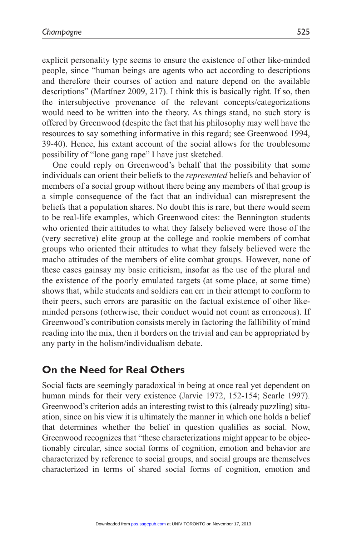explicit personality type seems to ensure the existence of other like-minded people, since "human beings are agents who act according to descriptions and therefore their courses of action and nature depend on the available descriptions" (Martínez 2009, 217). I think this is basically right. If so, then the intersubjective provenance of the relevant concepts/categorizations would need to be written into the theory. As things stand, no such story is offered by Greenwood (despite the fact that his philosophy may well have the resources to say something informative in this regard; see Greenwood 1994, 39-40). Hence, his extant account of the social allows for the troublesome possibility of "lone gang rape" I have just sketched.

One could reply on Greenwood's behalf that the possibility that some individuals can orient their beliefs to the *represented* beliefs and behavior of members of a social group without there being any members of that group is a simple consequence of the fact that an individual can misrepresent the beliefs that a population shares. No doubt this is rare, but there would seem to be real-life examples, which Greenwood cites: the Bennington students who oriented their attitudes to what they falsely believed were those of the (very secretive) elite group at the college and rookie members of combat groups who oriented their attitudes to what they falsely believed were the macho attitudes of the members of elite combat groups. However, none of these cases gainsay my basic criticism, insofar as the use of the plural and the existence of the poorly emulated targets (at some place, at some time) shows that, while students and soldiers can err in their attempt to conform to their peers, such errors are parasitic on the factual existence of other likeminded persons (otherwise, their conduct would not count as erroneous). If Greenwood's contribution consists merely in factoring the fallibility of mind reading into the mix, then it borders on the trivial and can be appropriated by any party in the holism/individualism debate.

## **On the Need for Real Others**

Social facts are seemingly paradoxical in being at once real yet dependent on human minds for their very existence (Jarvie 1972, 152-154; Searle 1997). Greenwood's criterion adds an interesting twist to this (already puzzling) situation, since on his view it is ultimately the manner in which one holds a belief that determines whether the belief in question qualifies as social. Now, Greenwood recognizes that "these characterizations might appear to be objectionably circular, since social forms of cognition, emotion and behavior are characterized by reference to social groups, and social groups are themselves characterized in terms of shared social forms of cognition, emotion and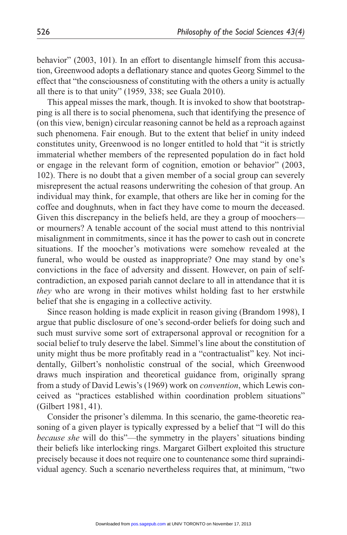behavior" (2003, 101). In an effort to disentangle himself from this accusation, Greenwood adopts a deflationary stance and quotes Georg Simmel to the effect that "the consciousness of constituting with the others a unity is actually all there is to that unity" (1959, 338; see Guala 2010).

This appeal misses the mark, though. It is invoked to show that bootstrapping is all there is to social phenomena, such that identifying the presence of (on this view, benign) circular reasoning cannot be held as a reproach against such phenomena. Fair enough. But to the extent that belief in unity indeed constitutes unity, Greenwood is no longer entitled to hold that "it is strictly immaterial whether members of the represented population do in fact hold or engage in the relevant form of cognition, emotion or behavior" (2003, 102). There is no doubt that a given member of a social group can severely misrepresent the actual reasons underwriting the cohesion of that group. An individual may think, for example, that others are like her in coming for the coffee and doughnuts, when in fact they have come to mourn the deceased. Given this discrepancy in the beliefs held, are they a group of moochers or mourners? A tenable account of the social must attend to this nontrivial misalignment in commitments, since it has the power to cash out in concrete situations. If the moocher's motivations were somehow revealed at the funeral, who would be ousted as inappropriate? One may stand by one's convictions in the face of adversity and dissent. However, on pain of selfcontradiction, an exposed pariah cannot declare to all in attendance that it is *they* who are wrong in their motives whilst holding fast to her erstwhile belief that she is engaging in a collective activity.

Since reason holding is made explicit in reason giving (Brandom 1998), I argue that public disclosure of one's second-order beliefs for doing such and such must survive some sort of extrapersonal approval or recognition for a social belief to truly deserve the label. Simmel's line about the constitution of unity might thus be more profitably read in a "contractualist" key. Not incidentally, Gilbert's nonholistic construal of the social, which Greenwood draws much inspiration and theoretical guidance from, originally sprang from a study of David Lewis's (1969) work on *convention*, which Lewis conceived as "practices established within coordination problem situations" (Gilbert 1981, 41).

Consider the prisoner's dilemma. In this scenario, the game-theoretic reasoning of a given player is typically expressed by a belief that "I will do this *because she* will do this"—the symmetry in the players' situations binding their beliefs like interlocking rings. Margaret Gilbert exploited this structure precisely because it does not require one to countenance some third supraindividual agency. Such a scenario nevertheless requires that, at minimum, "two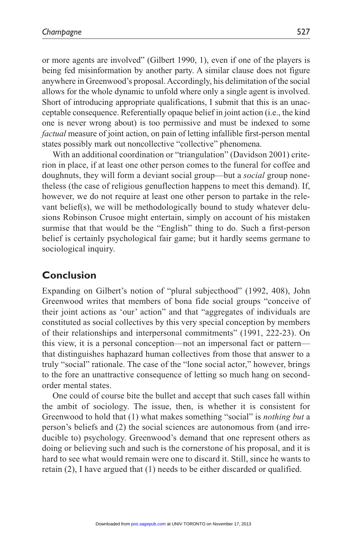or more agents are involved" (Gilbert 1990, 1), even if one of the players is being fed misinformation by another party. A similar clause does not figure anywhere in Greenwood's proposal. Accordingly, his delimitation of the social allows for the whole dynamic to unfold where only a single agent is involved. Short of introducing appropriate qualifications, I submit that this is an unacceptable consequence. Referentially opaque belief in joint action (i.e., the kind one is never wrong about) is too permissive and must be indexed to some *factual* measure of joint action, on pain of letting infallible first-person mental states possibly mark out noncollective "collective" phenomena.

With an additional coordination or "triangulation" (Davidson 2001) criterion in place, if at least one other person comes to the funeral for coffee and doughnuts, they will form a deviant social group—but a *social* group nonetheless (the case of religious genuflection happens to meet this demand). If, however, we do not require at least one other person to partake in the relevant belief(s), we will be methodologically bound to study whatever delusions Robinson Crusoe might entertain, simply on account of his mistaken surmise that that would be the "English" thing to do. Such a first-person belief is certainly psychological fair game; but it hardly seems germane to sociological inquiry.

## **Conclusion**

Expanding on Gilbert's notion of "plural subjecthood" (1992, 408), John Greenwood writes that members of bona fide social groups "conceive of their joint actions as 'our' action" and that "aggregates of individuals are constituted as social collectives by this very special conception by members of their relationships and interpersonal commitments" (1991, 222-23). On this view, it is a personal conception—not an impersonal fact or pattern that distinguishes haphazard human collectives from those that answer to a truly "social" rationale. The case of the "lone social actor," however, brings to the fore an unattractive consequence of letting so much hang on secondorder mental states.

One could of course bite the bullet and accept that such cases fall within the ambit of sociology. The issue, then, is whether it is consistent for Greenwood to hold that (1) what makes something "social" is *nothing but* a person's beliefs and (2) the social sciences are autonomous from (and irreducible to) psychology. Greenwood's demand that one represent others as doing or believing such and such is the cornerstone of his proposal, and it is hard to see what would remain were one to discard it. Still, since he wants to retain (2), I have argued that (1) needs to be either discarded or qualified.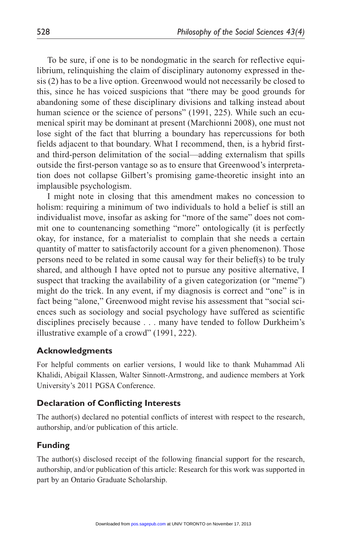To be sure, if one is to be nondogmatic in the search for reflective equilibrium, relinquishing the claim of disciplinary autonomy expressed in thesis (2) has to be a live option. Greenwood would not necessarily be closed to this, since he has voiced suspicions that "there may be good grounds for abandoning some of these disciplinary divisions and talking instead about human science or the science of persons" (1991, 225). While such an ecumenical spirit may be dominant at present (Marchionni 2008), one must not lose sight of the fact that blurring a boundary has repercussions for both fields adjacent to that boundary. What I recommend, then, is a hybrid firstand third-person delimitation of the social—adding externalism that spills outside the first-person vantage so as to ensure that Greenwood's interpretation does not collapse Gilbert's promising game-theoretic insight into an implausible psychologism.

I might note in closing that this amendment makes no concession to holism: requiring a minimum of two individuals to hold a belief is still an individualist move, insofar as asking for "more of the same" does not commit one to countenancing something "more" ontologically (it is perfectly okay, for instance, for a materialist to complain that she needs a certain quantity of matter to satisfactorily account for a given phenomenon). Those persons need to be related in some causal way for their belief(s) to be truly shared, and although I have opted not to pursue any positive alternative, I suspect that tracking the availability of a given categorization (or "meme") might do the trick. In any event, if my diagnosis is correct and "one" is in fact being "alone," Greenwood might revise his assessment that "social sciences such as sociology and social psychology have suffered as scientific disciplines precisely because . . . many have tended to follow Durkheim's illustrative example of a crowd" (1991, 222).

#### **Acknowledgments**

For helpful comments on earlier versions, I would like to thank Muhammad Ali Khalidi, Abigail Klassen, Walter Sinnott-Armstrong, and audience members at York University's 2011 PGSA Conference.

#### **Declaration of Conflicting Interests**

The author(s) declared no potential conflicts of interest with respect to the research, authorship, and/or publication of this article.

#### **Funding**

The author(s) disclosed receipt of the following financial support for the research, authorship, and/or publication of this article: Research for this work was supported in part by an Ontario Graduate Scholarship.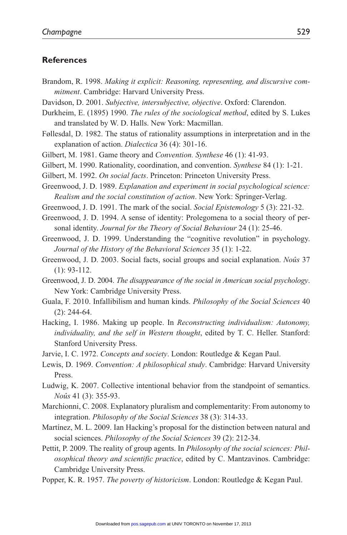#### **References**

- Brandom, R. 1998. *Making it explicit: Reasoning, representing, and discursive commitment*. Cambridge: Harvard University Press.
- Davidson, D. 2001. *Subjective, intersubjective, objective*. Oxford: Clarendon.
- Durkheim, E. (1895) 1990. *The rules of the sociological method*, edited by S. Lukes and translated by W. D. Halls. New York: Macmillan.
- Føllesdal, D. 1982. The status of rationality assumptions in interpretation and in the explanation of action. *Dialectica* 36 (4): 301-16.
- Gilbert, M. 1981. Game theory and *Convention. Synthese* 46 (1): 41-93.
- Gilbert, M. 1990. Rationality, coordination, and convention. *Synthese* 84 (1): 1-21.
- Gilbert, M. 1992. *On social facts*. Princeton: Princeton University Press.
- Greenwood, J. D. 1989. *Explanation and experiment in social psychological science: Realism and the social constitution of action*. New York: Springer-Verlag.
- Greenwood, J. D. 1991. The mark of the social. *Social Epistemology* 5 (3): 221-32.
- Greenwood, J. D. 1994. A sense of identity: Prolegomena to a social theory of personal identity. *Journal for the Theory of Social Behaviour* 24 (1): 25-46.
- Greenwood, J. D. 1999. Understanding the "cognitive revolution" in psychology. *Journal of the History of the Behavioral Sciences* 35 (1): 1-22.
- Greenwood, J. D. 2003. Social facts, social groups and social explanation. *Noûs* 37 (1): 93-112.
- Greenwood, J. D. 2004. *The disappearance of the social in American social psychology*. New York: Cambridge University Press.
- Guala, F. 2010. Infallibilism and human kinds. *Philosophy of the Social Sciences* 40 (2): 244-64.
- Hacking, I. 1986. Making up people. In *Reconstructing individualism: Autonomy, individuality, and the self in Western thought*, edited by T. C. Heller. Stanford: Stanford University Press.
- Jarvie, I. C. 1972. *Concepts and society*. London: Routledge & Kegan Paul.
- Lewis, D. 1969. *Convention: A philosophical study*. Cambridge: Harvard University Press.
- Ludwig, K. 2007. Collective intentional behavior from the standpoint of semantics. *Noûs* 41 (3): 355-93.
- Marchionni, C. 2008. Explanatory pluralism and complementarity: From autonomy to integration. *Philosophy of the Social Sciences* 38 (3): 314-33.
- Martínez, M. L. 2009. Ian Hacking's proposal for the distinction between natural and social sciences. *Philosophy of the Social Sciences* 39 (2): 212-34.
- Pettit, P. 2009. The reality of group agents. In *Philosophy of the social sciences: Philosophical theory and scientific practice*, edited by C. Mantzavinos. Cambridge: Cambridge University Press.
- Popper, K. R. 1957. *The poverty of historicism*. London: Routledge & Kegan Paul.